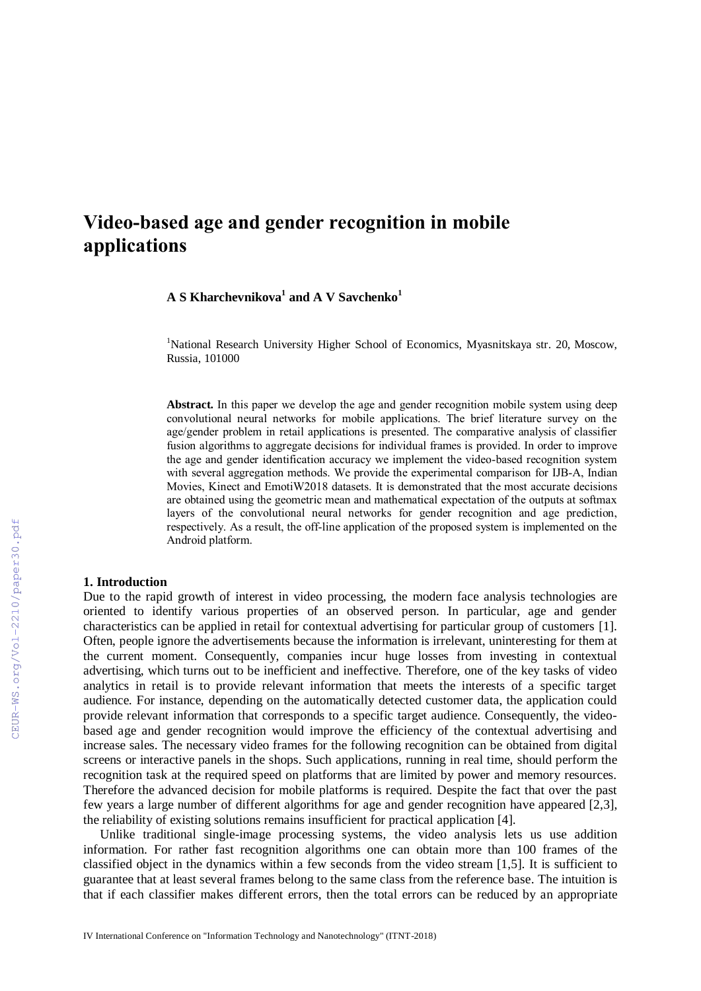# **Video-based age and gender recognition in mobile applications**

**A S Kharchevnikova<sup>1</sup> and A V Savchenko<sup>1</sup>**

<sup>1</sup>National Research University Higher School of Economics, Myasnitskaya str. 20, Moscow, Russia, 101000

**Abstract.** In this paper we develop the age and gender recognition mobile system using deep convolutional neural networks for mobile applications. The brief literature survey on the age/gender problem in retail applications is presented. The comparative analysis of classifier fusion algorithms to aggregate decisions for individual frames is provided. In order to improve the age and gender identification accuracy we implement the video-based recognition system with several aggregation methods. We provide the experimental comparison for IJB-A, Indian Movies, Kinect and EmotiW2018 datasets. It is demonstrated that the most accurate decisions are obtained using the geometric mean and mathematical expectation of the outputs at softmax layers of the convolutional neural networks for gender recognition and age prediction, respectively. As a result, the off-line application of the proposed system is implemented on the Android platform.

#### **1. Introduction**

Due to the rapid growth of interest in video processing, the modern face analysis technologies are oriented to identify various properties of an observed person. In particular, age and gender characteristics can be applied in retail for contextual advertising for particular group of customers [1]. Often, people ignore the advertisements because the information is irrelevant, uninteresting for them at the current moment. Consequently, companies incur huge losses from investing in contextual advertising, which turns out to be inefficient and ineffective. Therefore, one of the key tasks of video analytics in retail is to provide relevant information that meets the interests of a specific target audience. For instance, depending on the automatically detected customer data, the application could provide relevant information that corresponds to a specific target audience. Consequently, the videobased age and gender recognition would improve the efficiency of the contextual advertising and increase sales. The necessary video frames for the following recognition can be obtained from digital screens or interactive panels in the shops. Such applications, running in real time, should perform the recognition task at the required speed on platforms that are limited by power and memory resources. Therefore the advanced decision for mobile platforms is required. Despite the fact that over the past few years a large number of different algorithms for age and gender recognition have appeared [2,3], the reliability of existing solutions remains insufficient for practical application [4].

Unlike traditional single-image processing systems, the video analysis lets us use addition information. For rather fast recognition algorithms one can obtain more than 100 frames of the classified object in the dynamics within a few seconds from the video stream [1,5]. It is sufficient to guarantee that at least several frames belong to the same class from the reference base. The intuition is that if each classifier makes different errors, then the total errors can be reduced by an appropriate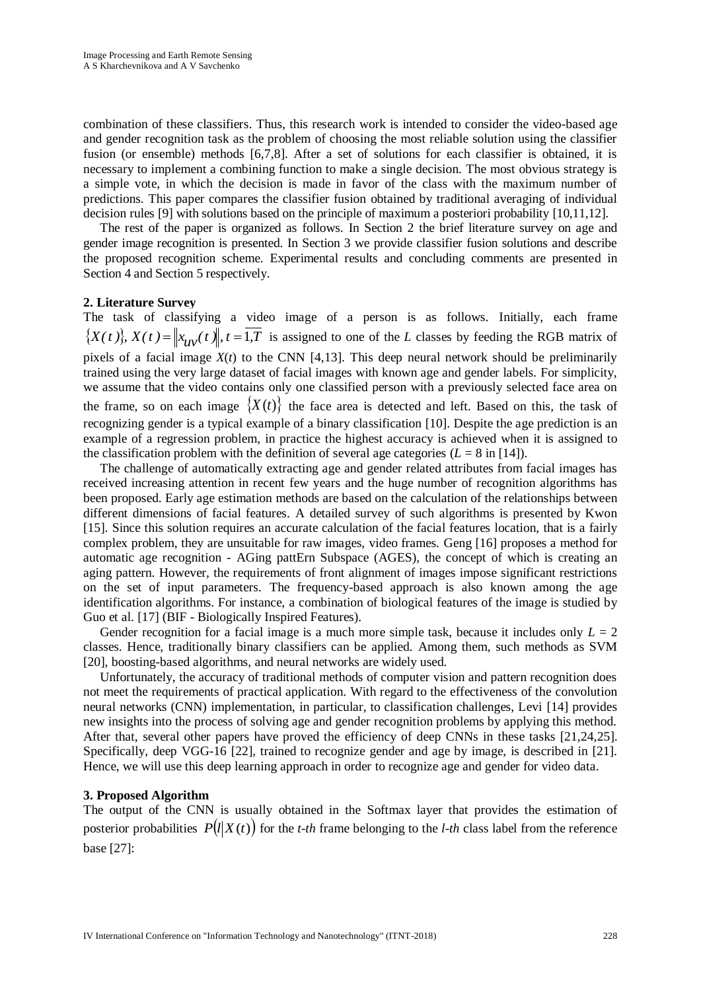combination of these classifiers. Thus, this research work is intended to consider the video-based age and gender recognition task as the problem of choosing the most reliable solution using the classifier fusion (or ensemble) methods [6,7,8]. After a set of solutions for each classifier is obtained, it is necessary to implement a combining function to make a single decision. The most obvious strategy is a simple vote, in which the decision is made in favor of the class with the maximum number of predictions. This paper compares the classifier fusion obtained by traditional averaging of individual decision rules [9] with solutions based on the principle of maximum a posteriori probability [10,11,12].

The rest of the paper is organized as follows. In Section 2 the brief literature survey on age and gender image recognition is presented. In Section 3 we provide classifier fusion solutions and describe the proposed recognition scheme. Experimental results and concluding comments are presented in Section 4 and Section 5 respectively.

## **2. Literature Survey**

The task of classifying a video image of a person is as follows. Initially, each frame  $\{X(t)\},\ X(t)=\left\|x_{\mathcal{U}V}(t)\right\|,t=1,T$  is assigned to one of the *L* classes by feeding the RGB matrix of pixels of a facial image  $X(t)$  to the CNN [4,13]. This deep neural network should be preliminarily trained using the very large dataset of facial images with known age and gender labels. For simplicity, we assume that the video contains only one classified person with a previously selected face area on the frame, so on each image  ${X(t)}$  the face area is detected and left. Based on this, the task of recognizing gender is a typical example of a binary classification [10]. Despite the age prediction is an example of a regression problem, in practice the highest accuracy is achieved when it is assigned to the classification problem with the definition of several age categories  $(L = 8 \text{ in } [14])$ .

The challenge of automatically extracting age and gender related attributes from facial images has received increasing attention in recent few years and the huge number of recognition algorithms has been proposed. Early age estimation methods are based on the calculation of the relationships between different dimensions of facial features. A detailed survey of such algorithms is presented by Kwon [15]. Since this solution requires an accurate calculation of the facial features location, that is a fairly complex problem, they are unsuitable for raw images, video frames. Geng [16] proposes a method for automatic age recognition - AGing pattErn Subspace (AGES), the concept of which is creating an aging pattern. However, the requirements of front alignment of images impose significant restrictions on the set of input parameters. The frequency-based approach is also known among the age identification algorithms. For instance, a combination of biological features of the image is studied by Guo et al. [17] (BIF - Biologically Inspired Features).

Gender recognition for a facial image is a much more simple task, because it includes only  $L = 2$ classes. Hence, traditionally binary classifiers can be applied. Among them, such methods as SVM [20], boosting-based algorithms, and neural networks are widely used.

Unfortunately, the accuracy of traditional methods of computer vision and pattern recognition does not meet the requirements of practical application. With regard to the effectiveness of the convolution neural networks (CNN) implementation, in particular, to classification challenges, Levi [14] provides new insights into the process of solving age and gender recognition problems by applying this method. After that, several other papers have proved the efficiency of deep CNNs in these tasks [21,24,25]. Specifically, deep VGG-16 [22], trained to recognize gender and age by image, is described in [21]. Hence, we will use this deep learning approach in order to recognize age and gender for video data.

### **3. Proposed Algorithm**

The output of the CNN is usually obtained in the Softmax layer that provides the estimation of posterior probabilities  $P(l|X(t))$  for the *t-th* frame belonging to the *l-th* class label from the reference base [27]: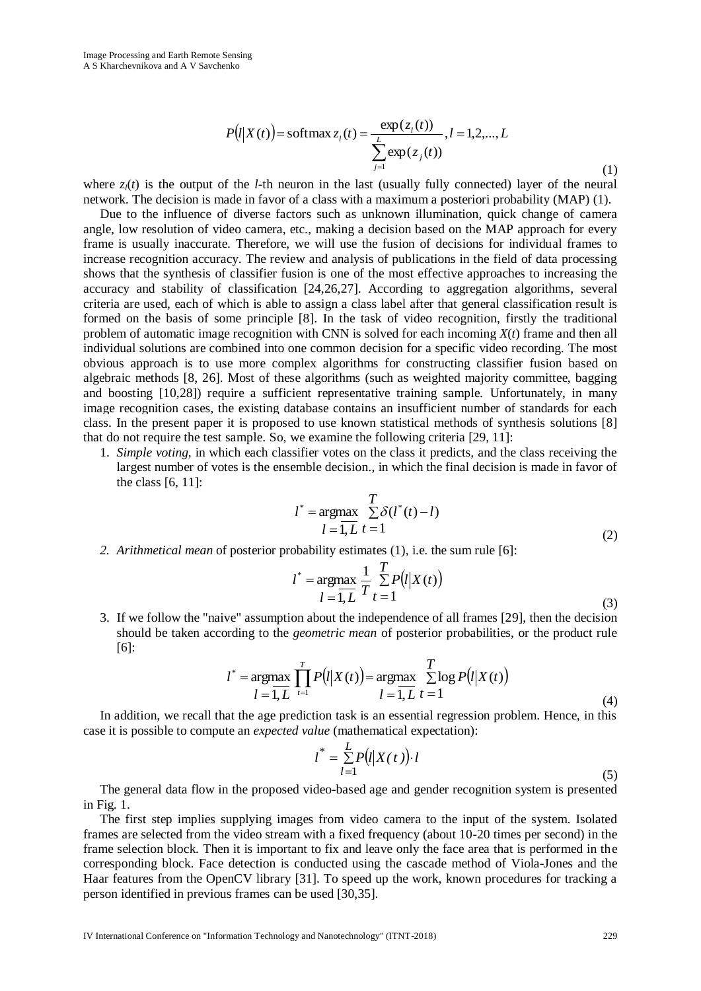$$
P(l|X(t)) = \text{softmax}_{z_i}(t) = \frac{\exp(z_i(t))}{\sum_{j=1}^{L} \exp(z_j(t))}, l = 1, 2, ..., L
$$
\n(1)

where  $z_i(t)$  is the output of the *l*-th neuron in the last (usually fully connected) layer of the neural network. The decision is made in favor of a class with a maximum a posteriori probability (MAP) (1).

Where  $z_i(t)$  is the captain of the *L* internet in the kind to secure the consistent of the learning  $F_i(t)$  ( $\frac{1}{2}$  *L* **Conference on the** *L* **<b>Conference of All Conference on the antitude of All Conference of All** Due to the influence of diverse factors such as unknown illumination, quick change of camera angle, low resolution of video camera, etc., making a decision based on the MAP approach for every frame is usually inaccurate. Therefore, we will use the fusion of decisions for individual frames to increase recognition accuracy. The review and analysis of publications in the field of data processing shows that the synthesis of classifier fusion is one of the most effective approaches to increasing the accuracy and stability of classification [24,26,27]. According to aggregation algorithms, several criteria are used, each of which is able to assign a class label after that general classification result is formed on the basis of some principle [8]. In the task of video recognition, firstly the traditional problem of automatic image recognition with CNN is solved for each incoming *X*(*t*) frame and then all individual solutions are combined into one common decision for a specific video recording. The most obvious approach is to use more complex algorithms for constructing classifier fusion based on algebraic methods [8, 26]. Most of these algorithms (such as weighted majority committee, bagging and boosting [10,28]) require a sufficient representative training sample. Unfortunately, in many image recognition cases, the existing database contains an insufficient number of standards for each class. In the present paper it is proposed to use known statistical methods of synthesis solutions [8] that do not require the test sample. So, we examine the following criteria [29, 11]:

1. *Simple voting*, in which each classifier votes on the class it predicts, and the class receiving the largest number of votes is the ensemble decision., in which the final decision is made in favor of the class [6, 11]:

$$
l^* = \underset{l=1, L}{\operatorname{argmax}} \sum_{t=1}^{T} \delta(l^*(t) - l)
$$
\n
$$
(2)
$$

*2. Arithmetical mean* of posterior probability estimates (1), i.e. the sum rule [6]:

$$
l^* = \underset{l=1, L}{\text{argmax}} \frac{1}{T} \sum_{t=1}^{T} P(l|X(t))
$$
\n(3)

3. If we follow the "naive" assumption about the independence of all frames [29], then the decision should be taken according to the *geometric mean* of posterior probabilities, or the product rule [6]:

$$
l^* = \underset{l=1, L}{\text{argmax}} \prod_{t=1}^T P(l|X(t)) = \underset{l=1, L}{\text{argmax}} \sum_{t=1}^T \log P(l|X(t))
$$
\n(4)

In addition, we recall that the age prediction task is an essential regression problem. Hence, in this case it is possible to compute an *expected value* (mathematical expectation):

$$
l^* = \sum_{l=1}^{L} P(l|X(t)) \cdot l \tag{5}
$$

The general data flow in the proposed video-based age and gender recognition system is presented in Fig. 1.

The first step implies supplying images from video camera to the input of the system. Isolated frames are selected from the video stream with a fixed frequency (about 10-20 times per second) in the frame selection block. Then it is important to fix and leave only the face area that is performed in the corresponding block. Face detection is conducted using the cascade method of Viola-Jones and the Haar features from the OpenCV library [31]. To speed up the work, known procedures for tracking a person identified in previous frames can be used [30,35].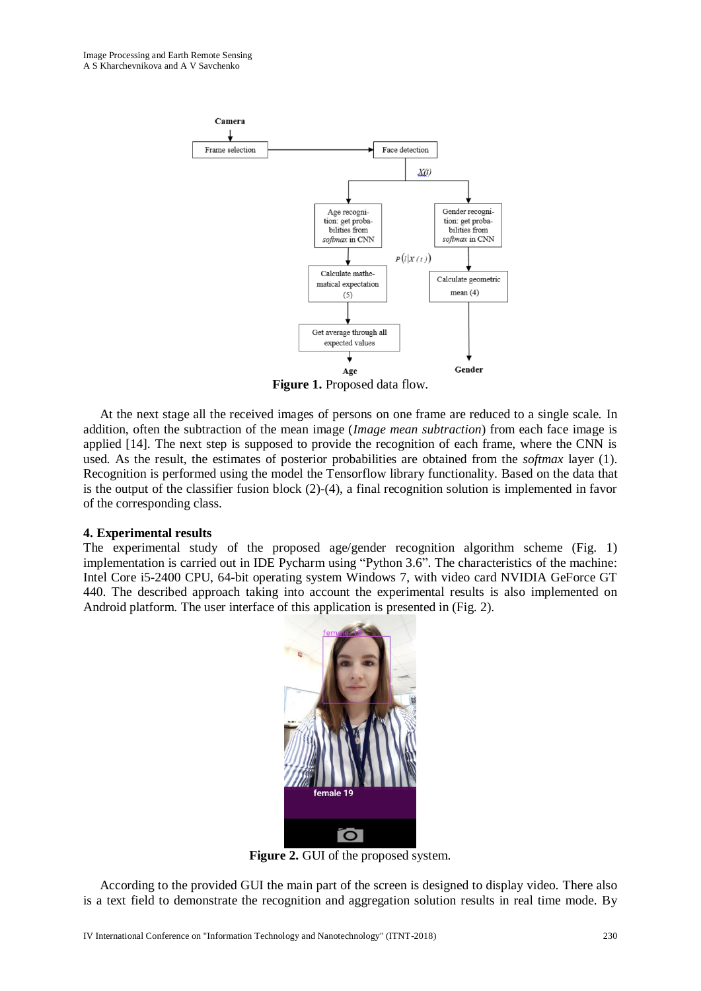

**Figure 1.** Proposed data flow.

At the next stage all the received images of persons on one frame are reduced to a single scale. In addition, often the subtraction of the mean image (*Image mean subtraction*) from each face image is applied [14]. The next step is supposed to provide the recognition of each frame, where the CNN is used. As the result, the estimates of posterior probabilities are obtained from the *softmax* layer (1). Recognition is performed using the model the Tensorflow library functionality. Based on the data that is the output of the classifier fusion block (2)-(4), a final recognition solution is implemented in favor of the corresponding class.

### **4. Experimental results**

The experimental study of the proposed age/gender recognition algorithm scheme (Fig. 1) implementation is carried out in IDE Pycharm using "Python 3.6". The characteristics of the machine: Intel Core i5-2400 CPU, 64-bit operating system Windows 7, with video card NVIDIA GeForce GT 440. The described approach taking into account the experimental results is also implemented on Android platform. The user interface of this application is presented in (Fig. 2).



**Figure 2.** GUI of the proposed system.

According to the provided GUI the main part of the screen is designed to display video. There also is a text field to demonstrate the recognition and aggregation solution results in real time mode. By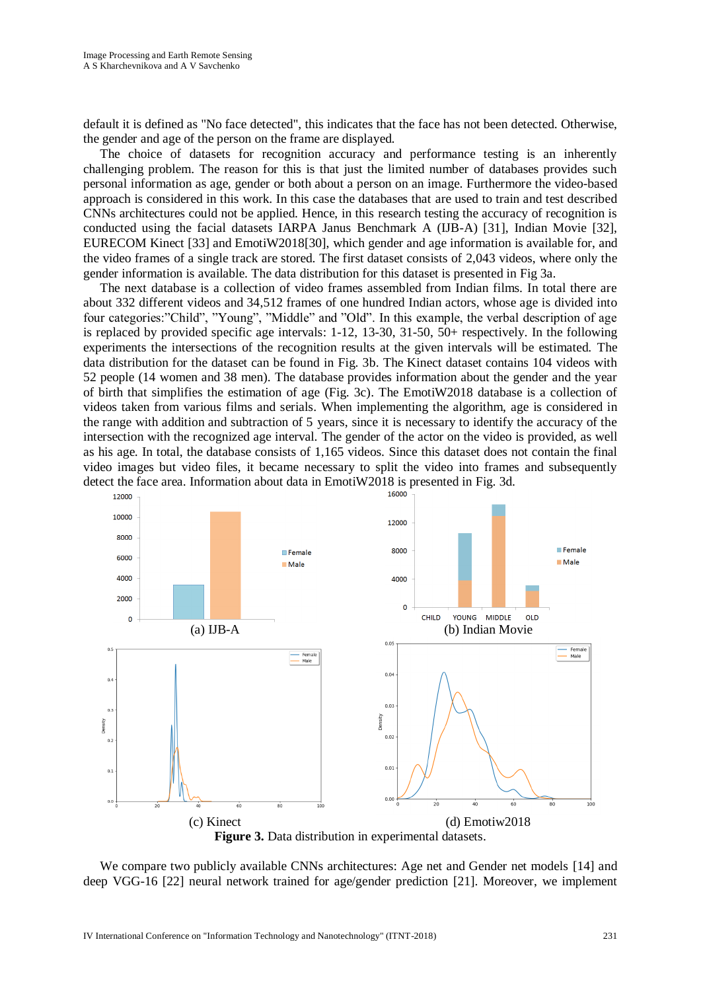default it is defined as "No face detected", this indicates that the face has not been detected. Otherwise, the gender and age of the person on the frame are displayed.

The choice of datasets for recognition accuracy and performance testing is an inherently challenging problem. The reason for this is that just the limited number of databases provides such personal information as age, gender or both about a person on an image. Furthermore the video-based approach is considered in this work. In this case the databases that are used to train and test described CNNs architectures could not be applied. Hence, in this research testing the accuracy of recognition is conducted using the facial datasets IARPA Janus Benchmark A (IJB-A) [31], Indian Movie [32], EURECOM Kinect [33] and EmotiW2018[30], which gender and age information is available for, and the video frames of a single track are stored. The first dataset consists of 2,043 videos, where only the gender information is available. The data distribution for this dataset is presented in Fig 3a.

The next database is a collection of video frames assembled from Indian films. In total there are about 332 different videos and 34,512 frames of one hundred Indian actors, whose age is divided into four categories:"Child", "Young", "Middle" and "Old". In this example, the verbal description of age is replaced by provided specific age intervals: 1-12, 13-30, 31-50, 50+ respectively. In the following experiments the intersections of the recognition results at the given intervals will be estimated. The data distribution for the dataset can be found in Fig. 3b. The Kinect dataset contains 104 videos with 52 people (14 women and 38 men). The database provides information about the gender and the year of birth that simplifies the estimation of age (Fig. 3c). The EmotiW2018 database is a collection of videos taken from various films and serials. When implementing the algorithm, age is considered in the range with addition and subtraction of 5 years, since it is necessary to identify the accuracy of the intersection with the recognized age interval. The gender of the actor on the video is provided, as well as his age. In total, the database consists of 1,165 videos. Since this dataset does not contain the final video images but video files, it became necessary to split the video into frames and subsequently detect the face area. Information about data in EmotiW2018 is presented in Fig. 3d.



**Figure 3.** Data distribution in experimental datasets.

We compare two publicly available CNNs architectures: Age net and Gender net models [14] and deep VGG-16 [22] neural network trained for age/gender prediction [21]. Moreover, we implement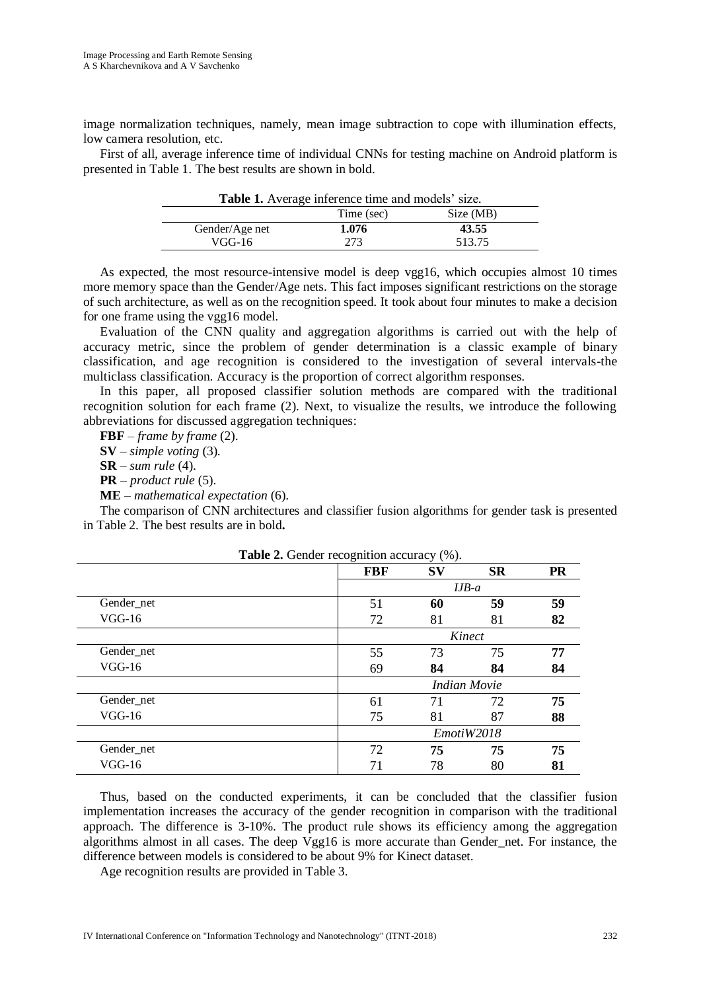image normalization techniques, namely, mean image subtraction to cope with illumination effects, low camera resolution, etc.

First of all, average inference time of individual CNNs for testing machine on Android platform is presented in Table 1. The best results are shown in bold.

| Twore 1, 11, erage inference three and models since. |            |           |  |  |  |  |
|------------------------------------------------------|------------|-----------|--|--|--|--|
|                                                      | Time (sec) | Size (MB) |  |  |  |  |
| Gender/Age net                                       | 1.076      | 43.55     |  |  |  |  |
| VGG-16                                               | 273        | 513.75    |  |  |  |  |
|                                                      |            |           |  |  |  |  |

**Table 1.** Average inference time and models' size.

As expected, the most resource-intensive model is deep vgg16, which occupies almost 10 times more memory space than the Gender/Age nets. This fact imposes significant restrictions on the storage of such architecture, as well as on the recognition speed. It took about four minutes to make a decision for one frame using the vgg16 model.

Evaluation of the CNN quality and aggregation algorithms is carried out with the help of accuracy metric, since the problem of gender determination is a classic example of binary classification, and age recognition is considered to the investigation of several intervals-the multiclass classification. Accuracy is the proportion of correct algorithm responses.

In this paper, all proposed classifier solution methods are compared with the traditional recognition solution for each frame (2). Next, to visualize the results, we introduce the following abbreviations for discussed aggregation techniques:

**FBF** – *frame by frame* (2).

**SV** – *simple voting* (3).

**SR** – *sum rule* (4).

**PR** – *product rule* (5).

**ME** – *mathematical expectation* (6).

The comparison of CNN architectures and classifier fusion algorithms for gender task is presented in Table 2. The best results are in bold**.**

| <b>Table 2.</b> Gender recognition accuracy (%). |            |                     |           |           |  |  |  |
|--------------------------------------------------|------------|---------------------|-----------|-----------|--|--|--|
|                                                  | <b>FBF</b> | $S_{V}$             | <b>SR</b> | <b>PR</b> |  |  |  |
|                                                  | $IJB-a$    |                     |           |           |  |  |  |
| Gender net                                       | 51         | 60                  | 59        | 59        |  |  |  |
| $VGG-16$                                         | 72         | 81                  | 81        | 82        |  |  |  |
|                                                  | Kinect     |                     |           |           |  |  |  |
| Gender_net                                       | 55         | 73                  | 75        | 77        |  |  |  |
| $VGG-16$                                         | 69         | 84                  | 84        | 84        |  |  |  |
|                                                  |            | <b>Indian Movie</b> |           |           |  |  |  |
| Gender net                                       | 61         | 71                  | 72        | 75        |  |  |  |
| $VGG-16$                                         | 75         | 81                  | 87        | 88        |  |  |  |
|                                                  | EmotiW2018 |                     |           |           |  |  |  |
| Gender_net                                       | 72         | 75                  | 75        | 75        |  |  |  |
| $VGG-16$                                         | 71         | 78                  | 80        | 81        |  |  |  |

 $T$ 

Thus, based on the conducted experiments, it can be concluded that the classifier fusion implementation increases the accuracy of the gender recognition in comparison with the traditional approach. The difference is 3-10%. The product rule shows its efficiency among the aggregation algorithms almost in all cases. The deep Vgg16 is more accurate than Gender net. For instance, the difference between models is considered to be about 9% for Kinect dataset.

Age recognition results are provided in Table 3.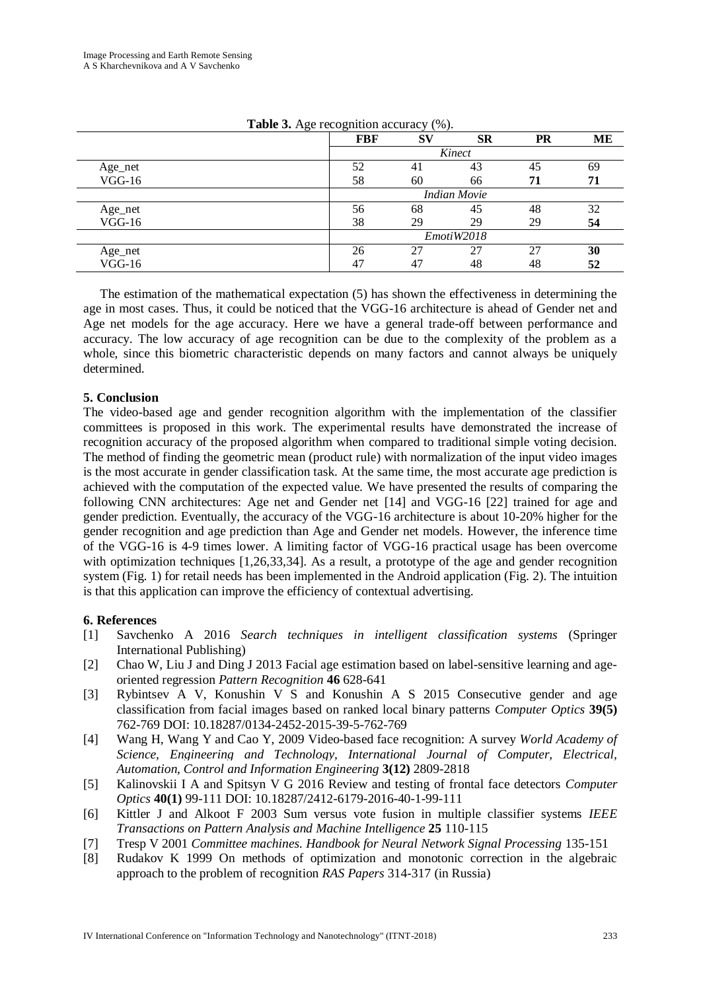|          | <b>FBF</b>          | <b>SV</b> | <b>SR</b> | PR | MЕ |  |  |
|----------|---------------------|-----------|-----------|----|----|--|--|
|          |                     | Kinect    |           |    |    |  |  |
| Age_net  | 52                  | 41        | 43        | 45 | 69 |  |  |
| $VGG-16$ | 58                  | 60        | 66        | 71 | 71 |  |  |
|          | <b>Indian Movie</b> |           |           |    |    |  |  |
| Age_net  | 56                  | 68        | 45        | 48 | 32 |  |  |
| $VGG-16$ | 38                  | 29        | 29        | 29 | 54 |  |  |
|          | EmotiW2018          |           |           |    |    |  |  |
| Age_net  | 26                  | 27        | 27        | 27 | 30 |  |  |
| $VGG-16$ | 47                  | 47        | 48        | 48 | 52 |  |  |

**Table 3.** Age recognition accuracy (%).

The estimation of the mathematical expectation (5) has shown the effectiveness in determining the age in most cases. Thus, it could be noticed that the VGG-16 architecture is ahead of Gender net and Age net models for the age accuracy. Here we have a general trade-off between performance and accuracy. The low accuracy of age recognition can be due to the complexity of the problem as a whole, since this biometric characteristic depends on many factors and cannot always be uniquely determined.

### **5. Conclusion**

The video-based age and gender recognition algorithm with the implementation of the classifier committees is proposed in this work. The experimental results have demonstrated the increase of recognition accuracy of the proposed algorithm when compared to traditional simple voting decision. The method of finding the geometric mean (product rule) with normalization of the input video images is the most accurate in gender classification task. At the same time, the most accurate age prediction is achieved with the computation of the expected value. We have presented the results of comparing the following CNN architectures: Age net and Gender net [14] and VGG-16 [22] trained for age and gender prediction. Eventually, the accuracy of the VGG-16 architecture is about 10-20% higher for the gender recognition and age prediction than Age and Gender net models. However, the inference time of the VGG-16 is 4-9 times lower. A limiting factor of VGG-16 practical usage has been overcome with optimization techniques [1,26,33,34]. As a result, a prototype of the age and gender recognition system (Fig. 1) for retail needs has been implemented in the Android application (Fig. 2). The intuition is that this application can improve the efficiency of contextual advertising.

### **6. References**

- [1] Savchenko A 2016 *Search techniques in intelligent classification systems* (Springer International Publishing)
- [2] Chao W, Liu J and Ding J 2013 Facial age estimation based on label-sensitive learning and ageoriented regression *Pattern Recognition* **46** 628-641
- [3] Rybintsev A V, Konushin V S and Konushin A S 2015 Consecutive gender and age classification from facial images based on ranked local binary patterns *Computer Optics* **39(5)** 762-769 DOI: 10.18287/0134-2452-2015-39-5-762-769
- [4] Wang H, Wang Y and Cao Y, 2009 Video-based face recognition: A survey *World Academy of Science, Engineering and Technology, International Journal of Computer, Electrical, Automation, Control and Information Engineering* **3(12)** 2809-2818
- [5] Kalinovskii I A and Spitsyn V G 2016 Review and testing of frontal face detectors *Computer Optics* **40(1)** 99-111 DOI: 10.18287/2412-6179-2016-40-1-99-111
- [6] Kittler J and Alkoot F 2003 Sum versus vote fusion in multiple classifier systems *IEEE Transactions on Pattern Analysis and Machine Intelligence* **25** 110-115
- [7] Tresp V 2001 *Committee machines. Handbook for Neural Network Signal Processing* 135-151
- [8] Rudakov K 1999 On methods of optimization and monotonic correction in the algebraic approach to the problem of recognition *RAS Papers* 314-317 (in Russia)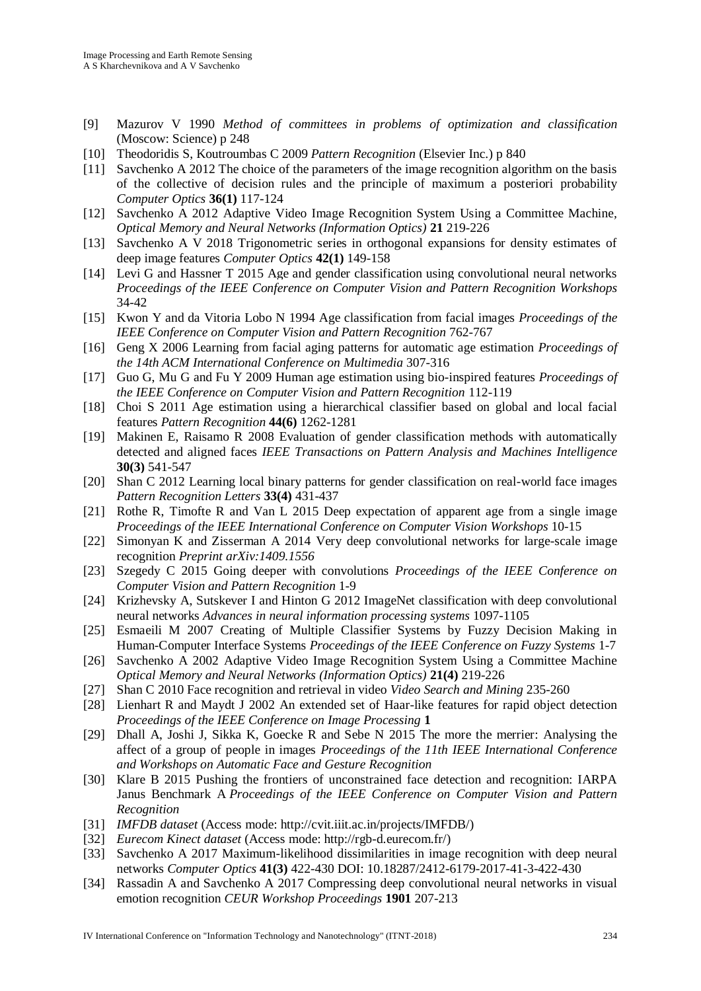- [9] Mazurov V 1990 *Method of committees in problems of optimization and classification* (Moscow: Science) p 248
- [10] Theodoridis S, Koutroumbas C 2009 *Pattern Recognition* (Elsevier Inc.) p 840
- [11] Savchenko A 2012 The choice of the parameters of the image recognition algorithm on the basis of the collective of decision rules and the principle of maximum a posteriori probability *Computer Optics* **36(1)** 117-124
- [12] Savchenko A 2012 Adaptive Video Image Recognition System Using a Committee Machine*, Optical Memory and Neural Networks (Information Optics)* **21** 219-226
- [13] Savchenko A V 2018 Trigonometric series in orthogonal expansions for density estimates of deep image features *Computer Optics* **42(1)** 149-158
- [14] Levi G and Hassner T 2015 Age and gender classification using convolutional neural networks *Proceedings of the IEEE Conference on Computer Vision and Pattern Recognition Workshops* 34-42
- [15] Kwon Y and da Vitoria Lobo N 1994 Age classification from facial images *Proceedings of the IEEE Conference on Computer Vision and Pattern Recognition* 762-767
- [16] Geng X 2006 Learning from facial aging patterns for automatic age estimation *Proceedings of the 14th ACM International Conference on Multimedia* 307-316
- [17] Guo G, Mu G and Fu Y 2009 Human age estimation using bio-inspired features *Proceedings of the IEEE Conference on Computer Vision and Pattern Recognition* 112-119
- [18] Choi S 2011 Age estimation using a hierarchical classifier based on global and local facial features *Pattern Recognition* **44(6)** 1262-1281
- [19] Makinen E, Raisamo R 2008 Evaluation of gender classification methods with automatically detected and aligned faces *IEEE Transactions on Pattern Analysis and Machines Intelligence* **30(3)** 541-547
- [20] Shan C 2012 Learning local binary patterns for gender classification on real-world face images *Pattern Recognition Letters* **33(4)** 431-437
- [21] Rothe R, Timofte R and Van L 2015 Deep expectation of apparent age from a single image *Proceedings of the IEEE International Conference on Computer Vision Workshops* 10-15
- [22] Simonyan K and Zisserman A 2014 Very deep convolutional networks for large-scale image recognition *Preprint arXiv:1409.1556*
- [23] Szegedy C 2015 Going deeper with convolutions *Proceedings of the IEEE Conference on Computer Vision and Pattern Recognition* 1-9
- [24] Krizhevsky A, Sutskever I and Hinton G 2012 ImageNet classification with deep convolutional neural networks *Advances in neural information processing systems* 1097-1105
- [25] Esmaeili M 2007 Creating of Multiple Classifier Systems by Fuzzy Decision Making in Human-Computer Interface Systems *Proceedings of the IEEE Conference on Fuzzy Systems* 1-7
- [26] Savchenko A 2002 Adaptive Video Image Recognition System Using a Committee Machine *Optical Memory and Neural Networks (Information Optics)* **21(4)** 219-226
- [27] Shan C 2010 Face recognition and retrieval in video *Video Search and Mining* 235-260
- [28] Lienhart R and Maydt J 2002 An extended set of Haar-like features for rapid object detection *Proceedings of the IEEE Conference on Image Processing* **1**
- [29] Dhall A, Joshi J, Sikka K, Goecke R and Sebe N 2015 The more the merrier: Analysing the affect of a group of people in images *Proceedings of the 11th IEEE International Conference and Workshops on Automatic Face and Gesture Recognition*
- [30] Klare B 2015 Pushing the frontiers of unconstrained face detection and recognition: IARPA Janus Benchmark A *Proceedings of the IEEE Conference on Computer Vision and Pattern Recognition*
- [31] *IMFDB dataset* (Access mode: [http://cvit.iiit.ac.in/projects/IMFDB/\)](http://cvit.iiit.ac.in/projects/IMFDB/)
- [32] *Eurecom Kinect dataset* (Access mode: [http://rgb-d.eurecom.fr/\)](http://rgb-d.eurecom.fr/)
- [33] Savchenko A 2017 Maximum-likelihood dissimilarities in image recognition with deep neural networks *Computer Optics* **41(3)** 422-430 DOI: 10.18287/2412-6179-2017-41-3-422-430
- [34] Rassadin A and Savchenko A 2017 Compressing deep convolutional neural networks in visual emotion recognition *CEUR Workshop Proceedings* **1901** 207-213